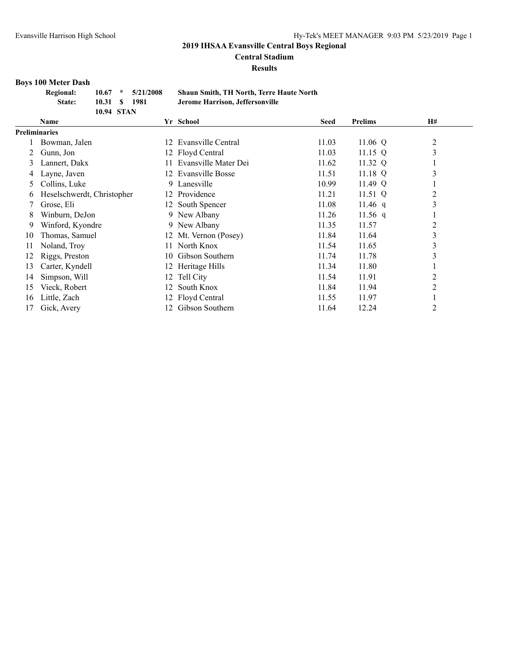**Central Stadium**

**Results**

# **Boys 100 Meter Dash**

| <b>Regional:</b> |               | $10.67$ * $5/21/2008$ | <b>Shaun Smith, TH North, Terre Haute North</b> |
|------------------|---------------|-----------------------|-------------------------------------------------|
| State:           | 10.31 \$ 1981 |                       | Jerome Harrison, Jeffersonville                 |
|                  | 10.94 STAN    |                       |                                                 |

|               | Name                       |     | Yr School               | <b>Seed</b> | <b>Prelims</b> | <b>H#</b>      |
|---------------|----------------------------|-----|-------------------------|-------------|----------------|----------------|
|               | <b>Preliminaries</b>       |     |                         |             |                |                |
|               | Bowman, Jalen              | 12  | Evansville Central      | 11.03       | 11.06 $Q$      | $\overline{2}$ |
| 2             | Gunn, Jon                  |     | 12 Floyd Central        | 11.03       | $11.15$ Q      | 3              |
| 3             | Lannert, Dakx              |     | Evansville Mater Dei    | 11.62       | 11.32 Q        |                |
| 4             | Layne, Javen               | 12. | <b>Evansville Bosse</b> | 11.51       | $11.18$ Q      | 3              |
| $\mathcal{L}$ | Collins, Luke              |     | 9 Lanesville            | 10.99       | 11.49 $Q$      |                |
| 6             | Heselschwerdt, Christopher | 12  | Providence              | 11.21       | 11.51 $Q$      | 2              |
|               | Grose, Eli                 |     | 12 South Spencer        | 11.08       | 11.46 $q$      | 3              |
| 8             | Winburn, DeJon             |     | 9 New Albany            | 11.26       | 11.56 q        |                |
| 9             | Winford, Kyondre           |     | 9 New Albany            | 11.35       | 11.57          | 2              |
| 10            | Thomas, Samuel             |     | 12 Mt. Vernon (Posey)   | 11.84       | 11.64          | 3              |
| 11            | Noland, Troy               | 11. | North Knox              | 11.54       | 11.65          | 3              |
| 12            | Riggs, Preston             | 10. | Gibson Southern         | 11.74       | 11.78          | 3              |
| 13            | Carter, Kyndell            |     | 12 Heritage Hills       | 11.34       | 11.80          |                |
| 14            | Simpson, Will              |     | 12 Tell City            | 11.54       | 11.91          | 2              |
| 15            | Vieck, Robert              | 12  | South Knox              | 11.84       | 11.94          | 2              |
| 16            | Little, Zach               |     | 12 Floyd Central        | 11.55       | 11.97          |                |
| 17            | Gick, Avery                | 12. | Gibson Southern         | 11.64       | 12.24          | 2              |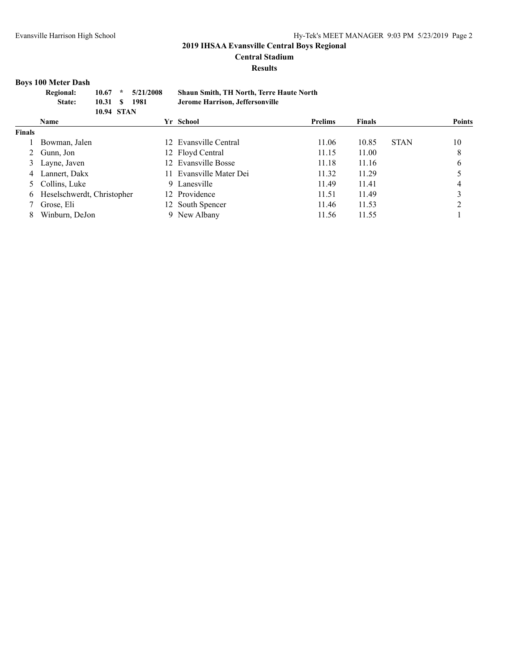#### **Central Stadium**

**Results**

# **Boys 100 Meter Dash**

| <b>Regional:</b><br>10.67<br>State: |                                                | S                      | 5/21/2008<br>1981 |                                                 | <b>Shaun Smith, TH North, Terre Haute North</b><br>Jerome Harrison, Jeffersonville |                                                                                                                                           |               |             |               |
|-------------------------------------|------------------------------------------------|------------------------|-------------------|-------------------------------------------------|------------------------------------------------------------------------------------|-------------------------------------------------------------------------------------------------------------------------------------------|---------------|-------------|---------------|
| <b>Name</b>                         |                                                |                        |                   |                                                 |                                                                                    | <b>Prelims</b>                                                                                                                            | <b>Finals</b> |             | <b>Points</b> |
|                                     |                                                |                        |                   |                                                 |                                                                                    |                                                                                                                                           |               |             |               |
|                                     |                                                |                        |                   |                                                 |                                                                                    | 11.06                                                                                                                                     | 10.85         | <b>STAN</b> | 10            |
|                                     |                                                |                        |                   |                                                 |                                                                                    | 11.15                                                                                                                                     | 11.00         |             | 8             |
|                                     |                                                |                        |                   |                                                 |                                                                                    | 11.18                                                                                                                                     | 11.16         |             | 6             |
| Lannert, Dakx                       |                                                |                        |                   |                                                 |                                                                                    | 11.32                                                                                                                                     | 11.29         |             |               |
|                                     |                                                |                        |                   |                                                 |                                                                                    | 11.49                                                                                                                                     | 11.41         |             | 4             |
|                                     |                                                |                        |                   |                                                 |                                                                                    | 11.51                                                                                                                                     | 11.49         |             |               |
|                                     | 2 Gunn, Jon<br>Layne, Javen<br>5 Collins, Luke | 10.31<br>Bowman, Jalen |                   | <b>10.94 STAN</b><br>Heselschwerdt, Christopher |                                                                                    | Yr School<br>12 Evansville Central<br>12 Floyd Central<br>12 Evansville Bosse<br>11 Evansville Mater Dei<br>9 Lanesville<br>12 Providence |               |             |               |

7 Grose, Eli 12 South Spencer 11.46 11.53 2<br>
8 Winburn, DeJon 9 New Albany 11.56 11.55 1 8 Winburn, DeJon 9 New Albany 11.56 11.55 1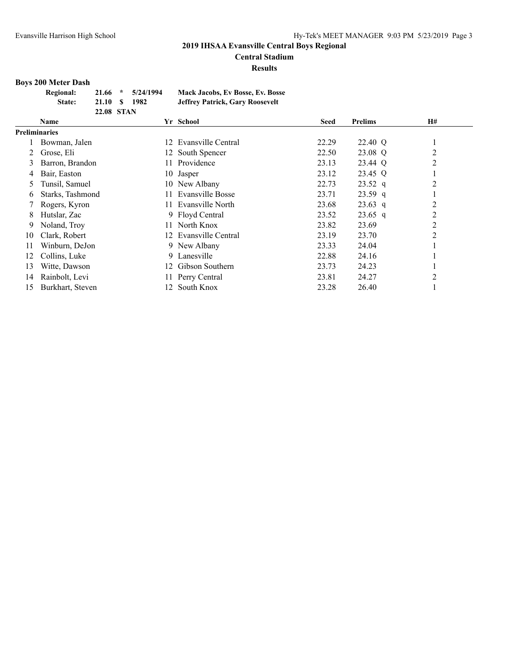**Central Stadium**

**Results**

# **Boys 200 Meter Dash**

| <b>Regional:</b> |                   | $21.66$ * $5/24/1994$ | <b>Mack Jacobs, Ev Bosse, Ev. Bosse</b> |
|------------------|-------------------|-----------------------|-----------------------------------------|
| State:           | 21.10 S           | 1982                  | <b>Jeffrey Patrick, Gary Roosevelt</b>  |
|                  | <b>22.08 STAN</b> |                       |                                         |

|    | Yr School<br><b>Name</b> |                         | <b>Seed</b> | <b>Prelims</b> | <b>H#</b>      |  |
|----|--------------------------|-------------------------|-------------|----------------|----------------|--|
|    | <b>Preliminaries</b>     |                         |             |                |                |  |
|    | Bowman, Jalen            | 12 Evansville Central   | 22.29       | 22.40 Q        |                |  |
|    | Grose, Eli               | 12 South Spencer        | 22.50       | 23.08 Q        | 2              |  |
| 3  | Barron, Brandon          | Providence<br>11.       | 23.13       | 23.44 Q        | $\overline{2}$ |  |
| 4  | Bair, Easton             | 10 Jasper               | 23.12       | 23.45 Q        |                |  |
| 5  | Tunsil, Samuel           | 10 New Albany           | 22.73       | $23.52$ q      | $\overline{2}$ |  |
| 6  | Starks, Tashmond         | Evansville Bosse<br>11. | 23.71       | $23.59$ q      |                |  |
|    | Rogers, Kyron            | Evansville North<br>11. | 23.68       | $23.63$ q      | $\overline{c}$ |  |
| 8  | Hutslar, Zac             | 9 Floyd Central         | 23.52       | $23.65$ q      | $\overline{c}$ |  |
| 9  | Noland, Troy             | North Knox<br>11.       | 23.82       | 23.69          | $\overline{2}$ |  |
| 10 | Clark, Robert            | 12 Evansville Central   | 23.19       | 23.70          | $\overline{2}$ |  |
| 11 | Winburn, DeJon           | 9 New Albany            | 23.33       | 24.04          |                |  |
| 12 | Collins, Luke            | Lanesville<br>9.        | 22.88       | 24.16          |                |  |
| 13 | Witte, Dawson            | Gibson Southern<br>12.  | 23.73       | 24.23          |                |  |
| 14 | Rainbolt, Levi           | 11 Perry Central        | 23.81       | 24.27          | $\overline{2}$ |  |
| 15 | Burkhart, Steven         | 12 South Knox           | 23.28       | 26.40          |                |  |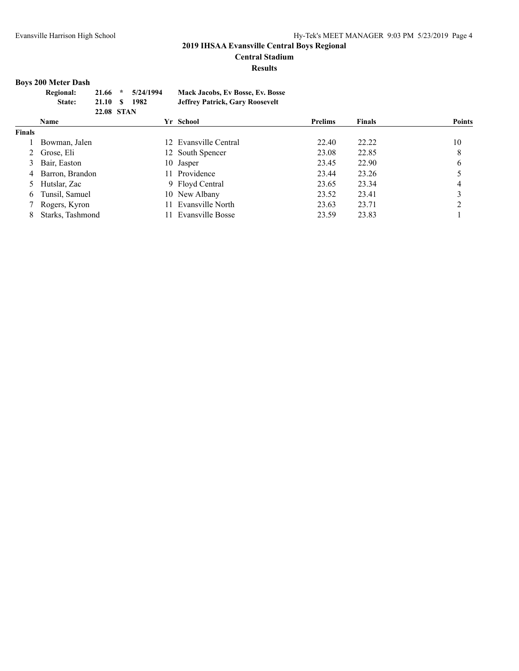#### **Central Stadium**

**Results**

# **Boys 200 Meter Dash**

|               | <b>Boys 200 Meter Dash</b> |            |         |           |     |                                         |                |               |        |
|---------------|----------------------------|------------|---------|-----------|-----|-----------------------------------------|----------------|---------------|--------|
|               | <b>Regional:</b>           | 21.66      | $\star$ | 5/24/1994 |     | <b>Mack Jacobs, Ev Bosse, Ev. Bosse</b> |                |               |        |
|               | State:                     | 21.10      | S       | 1982      |     | <b>Jeffrey Patrick, Gary Roosevelt</b>  |                |               |        |
|               |                            | 22.08 STAN |         |           |     |                                         |                |               |        |
|               | <b>Name</b>                |            |         |           |     | Yr School                               | <b>Prelims</b> | <b>Finals</b> | Points |
| <b>Finals</b> |                            |            |         |           |     |                                         |                |               |        |
|               | Bowman, Jalen              |            |         |           |     | 12 Evansville Central                   | 22.40          | 22.22         | 10     |
|               | Grose, Eli                 |            |         |           |     | 12 South Spencer                        | 23.08          | 22.85         | 8      |
| 3             | Bair, Easton               |            |         |           |     | 10 Jasper                               | 23.45          | 22.90         | 6      |
| 4             | Barron, Brandon            |            |         |           | 11. | Providence                              | 23.44          | 23.26         |        |
| 5             | Hutslar, Zac               |            |         |           |     | 9 Floyd Central                         | 23.65          | 23.34         | 4      |
| 6             | Tunsil, Samuel             |            |         |           |     | 10 New Albany                           | 23.52          | 23.41         | 3      |
|               | Rogers, Kyron              |            |         |           | 11. | Evansville North                        | 23.63          | 23.71         | ∍      |
| 8             | Starks, Tashmond           |            |         |           |     | Evansville Bosse                        | 23.59          | 23.83         |        |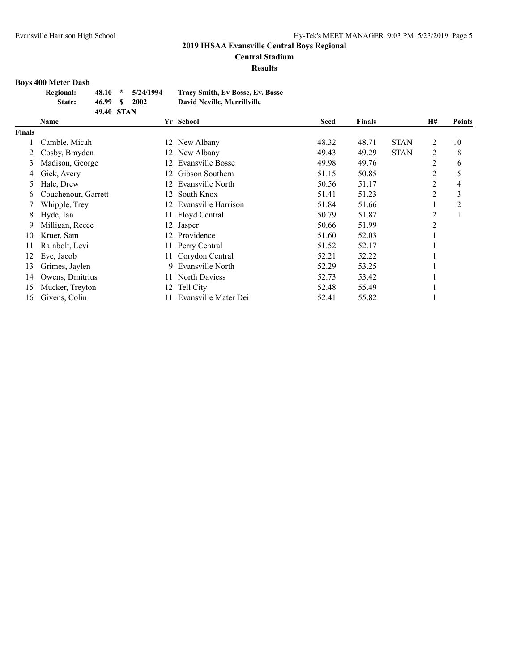**Central Stadium**

**Results**

# **Boys 400 Meter Dash**

| <b>Regional:</b> |            | $48.10 * 5/24/1994$ | <b>Tracy Smith, Ev Bosse, Ev. Bosse</b> |
|------------------|------------|---------------------|-----------------------------------------|
| State:           | 46.99 \$   | 2002                | David Neville, Merrillville             |
|                  | 49.40 STAN |                     |                                         |

|        | Name                |    | Yr School               | <b>Seed</b> | <b>Finals</b> |             | <b>H#</b> | <b>Points</b> |
|--------|---------------------|----|-------------------------|-------------|---------------|-------------|-----------|---------------|
| Finals |                     |    |                         |             |               |             |           |               |
|        | Camble, Micah       | 12 | New Albany              | 48.32       | 48.71         | <b>STAN</b> | 2         | 10            |
| 2      | Cosby, Brayden      |    | 12 New Albany           | 49.43       | 49.29         | <b>STAN</b> | 2         | 8             |
| 3      | Madison, George     | 12 | <b>Evansville Bosse</b> | 49.98       | 49.76         |             | 2         | 6             |
| 4      | Gick, Avery         | 12 | Gibson Southern         | 51.15       | 50.85         |             | 2         | 5             |
| 5      | Hale, Drew          | 12 | Evansville North        | 50.56       | 51.17         |             | 2         | 4             |
| 6      | Couchenour, Garrett | 12 | South Knox              | 51.41       | 51.23         |             | 2         | 3             |
|        | Whipple, Trey       |    | Evansville Harrison     | 51.84       | 51.66         |             |           | 2             |
| 8      | Hyde, Ian           |    | 11 Floyd Central        | 50.79       | 51.87         |             | 2         |               |
| 9      | Milligan, Reece     | 12 | Jasper                  | 50.66       | 51.99         |             | 2         |               |
| 10     | Kruer, Sam          | 12 | Providence              | 51.60       | 52.03         |             |           |               |
| 11     | Rainbolt, Levi      |    | Perry Central           | 51.52       | 52.17         |             |           |               |
| 12     | Eve, Jacob          |    | Corydon Central         | 52.21       | 52.22         |             |           |               |
| 13     | Grimes, Jaylen      | 9. | Evansville North        | 52.29       | 53.25         |             |           |               |
| 14     | Owens, Dmitrius     |    | North Daviess           | 52.73       | 53.42         |             |           |               |
| 15     | Mucker, Treyton     |    | Tell City               | 52.48       | 55.49         |             |           |               |
| 16     | Givens, Colin       |    | Evansville Mater Dei    | 52.41       | 55.82         |             |           |               |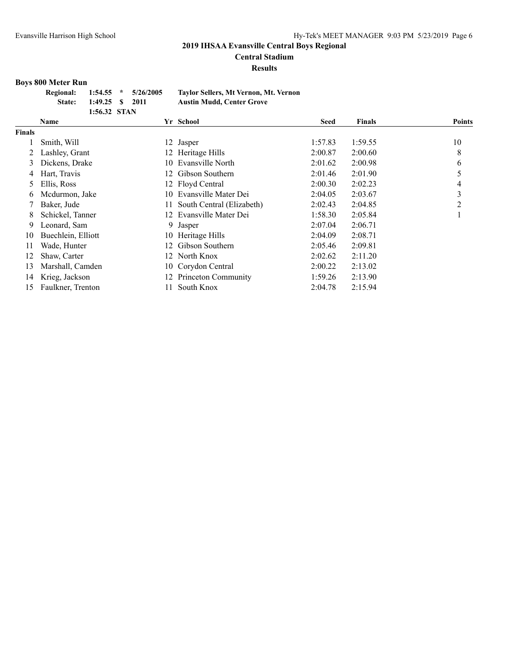**Central Stadium**

**Results**

#### **Boys 800 Meter Run**

| Regional: 1:54.55 * 5/26/2005 |                 |  | Taylor Sellers, Mt Vernon, Mt. Vernon |
|-------------------------------|-----------------|--|---------------------------------------|
| State:                        | 1:49.25 \$ 2011 |  | <b>Austin Mudd, Center Grove</b>      |
|                               | 1:56.32 STAN    |  |                                       |

|               | Name               |    | Yr School                 | <b>Seed</b> | <b>Finals</b> | <b>Points</b> |
|---------------|--------------------|----|---------------------------|-------------|---------------|---------------|
| <b>Finals</b> |                    |    |                           |             |               |               |
|               | Smith, Will        |    | 12 Jasper                 | 1:57.83     | 1:59.55       | 10            |
|               | Lashley, Grant     |    | 12 Heritage Hills         | 2:00.87     | 2:00.60       | 8             |
| 3             | Dickens, Drake     | 10 | Evansville North          | 2:01.62     | 2:00.98       | 6             |
| 4             | Hart, Travis       |    | 12 Gibson Southern        | 2:01.46     | 2:01.90       |               |
| 5             | Ellis, Ross        |    | 12 Floyd Central          | 2:00.30     | 2:02.23       | 4             |
| 6             | Mcdurmon, Jake     | 10 | Evansville Mater Dei      | 2:04.05     | 2:03.67       | 3             |
|               | Baker, Jude        | 11 | South Central (Elizabeth) | 2:02.43     | 2:04.85       | 2             |
| 8             | Schickel, Tanner   | 12 | Evansville Mater Dei      | 1:58.30     | 2:05.84       |               |
| 9             | Leonard, Sam       | 9  | Jasper                    | 2:07.04     | 2:06.71       |               |
| 10            | Buechlein, Elliott |    | 10 Heritage Hills         | 2:04.09     | 2:08.71       |               |
| 11            | Wade, Hunter       | 12 | Gibson Southern           | 2:05.46     | 2:09.81       |               |
| 12            | Shaw, Carter       |    | 12 North Knox             | 2:02.62     | 2:11.20       |               |
| 13            | Marshall, Camden   |    | 10 Corydon Central        | 2:00.22     | 2:13.02       |               |
| 14            | Krieg, Jackson     | 12 | Princeton Community       | 1:59.26     | 2:13.90       |               |
| 15            | Faulkner, Trenton  |    | South Knox                | 2:04.78     | 2:15.94       |               |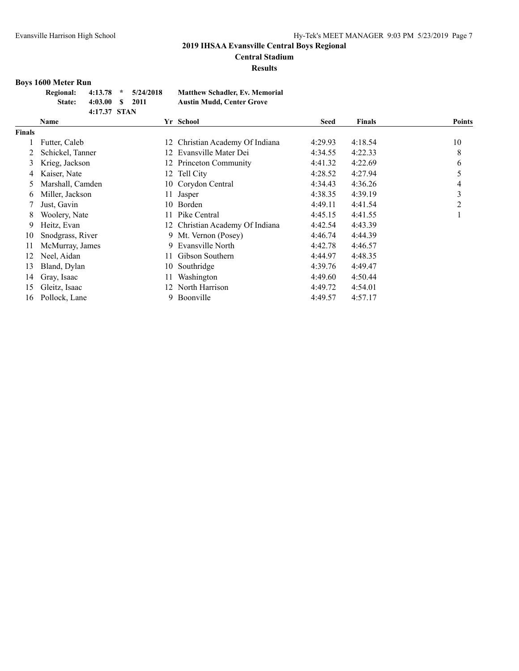# **Central Stadium**

**Results**

#### **Boys 1600 Meter Run**

| <b>Regional:</b> |                  | $4:13.78$ * $5/24/2018$ | <b>Matthew Schadler, Ev. Memorial</b> |
|------------------|------------------|-------------------------|---------------------------------------|
| State:           | $4:03.00 S$ 2011 |                         | <b>Austin Mudd, Center Grove</b>      |
|                  | 4:17.37 STAN     |                         |                                       |

|               | Name             |     | Yr School                       | <b>Seed</b> | <b>Finals</b> | <b>Points</b> |
|---------------|------------------|-----|---------------------------------|-------------|---------------|---------------|
| <b>Finals</b> |                  |     |                                 |             |               |               |
|               | Futter, Caleb    | 12  | Christian Academy Of Indiana    | 4:29.93     | 4:18.54       | 10            |
|               | Schickel, Tanner | 12. | Evansville Mater Dei            | 4:34.55     | 4:22.33       | 8             |
| 3             | Krieg, Jackson   |     | 12 Princeton Community          | 4:41.32     | 4:22.69       | 6             |
| 4             | Kaiser, Nate     |     | 12 Tell City                    | 4:28.52     | 4:27.94       | 5             |
| 5             | Marshall, Camden |     | 10 Corydon Central              | 4:34.43     | 4:36.26       | 4             |
| 6             | Miller, Jackson  | 11  | Jasper                          | 4:38.35     | 4:39.19       | 3             |
|               | Just, Gavin      | 10- | Borden                          | 4:49.11     | 4:41.54       | 2             |
| 8             | Woolery, Nate    | 11  | Pike Central                    | 4:45.15     | 4:41.55       |               |
| 9             | Heitz, Evan      |     | 12 Christian Academy Of Indiana | 4:42.54     | 4:43.39       |               |
| 10            | Snodgrass, River |     | 9 Mt. Vernon (Posey)            | 4:46.74     | 4:44.39       |               |
| 11            | McMurray, James  | 9   | Evansville North                | 4:42.78     | 4:46.57       |               |
| 12            | Neel, Aidan      | 11  | Gibson Southern                 | 4:44.97     | 4:48.35       |               |
| 13            | Bland, Dylan     | 10  | Southridge                      | 4:39.76     | 4:49.47       |               |
| 14            | Gray, Isaac      | 11  | Washington                      | 4:49.60     | 4:50.44       |               |
| 15            | Gleitz, Isaac    | 12. | North Harrison                  | 4:49.72     | 4:54.01       |               |
| 16            | Pollock, Lane    | 9.  | Boonville                       | 4:49.57     | 4:57.17       |               |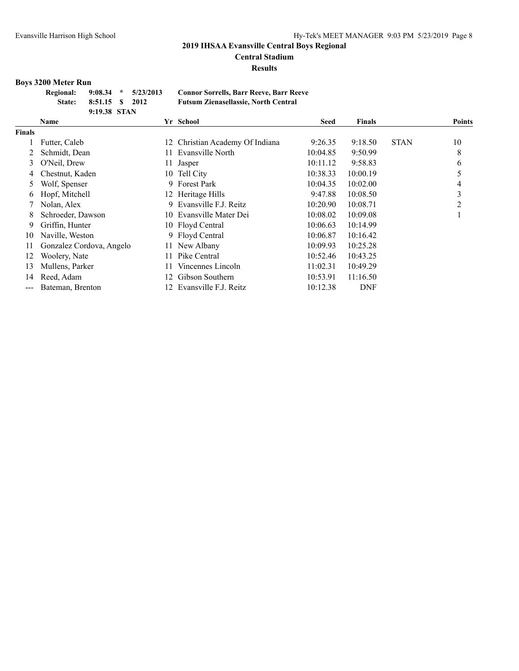**Central Stadium**

**Results**

# **Boys 3200 Meter Run**

| <b>Regional:</b> |                 | $9:08.34$ * $5/23/2013$ | <b>Connor Sorrells, Barr Reeve, Barr Reeve</b> |
|------------------|-----------------|-------------------------|------------------------------------------------|
| <b>State:</b>    | 8:51.15 \$ 2012 |                         | <b>Futsum Zienasellassie, North Central</b>    |
|                  | 9:19.38 STAN    |                         |                                                |

|                        | Name                     |     | Yr School                    | <b>Seed</b> | <b>Finals</b> |             | <b>Points</b> |
|------------------------|--------------------------|-----|------------------------------|-------------|---------------|-------------|---------------|
| <b>Finals</b>          |                          |     |                              |             |               |             |               |
|                        | Futter, Caleb            | 12  | Christian Academy Of Indiana | 9:26.35     | 9:18.50       | <b>STAN</b> | 10            |
| 2                      | Schmidt, Dean            | 11  | Evansville North             | 10:04.85    | 9:50.99       |             | 8             |
| 3                      | O'Neil, Drew             | 11  | Jasper                       | 10:11.12    | 9:58.83       |             | 6             |
| 4                      | Chestnut, Kaden          |     | 10 Tell City                 | 10:38.33    | 10:00.19      |             | 5             |
| $\mathcal{L}$          | Wolf, Spenser            | 9   | <b>Forest Park</b>           | 10:04.35    | 10:02.00      |             | 4             |
| 6                      | Hopf, Mitchell           |     | 12 Heritage Hills            | 9:47.88     | 10:08.50      |             | 3             |
|                        | Nolan, Alex              | 9   | Evansville F.J. Reitz        | 10:20.90    | 10:08.71      |             | 2             |
| 8                      | Schroeder, Dawson        |     | 10 Evansville Mater Dei      | 10:08.02    | 10:09.08      |             |               |
| 9.                     | Griffin, Hunter          |     | 10 Floyd Central             | 10:06.63    | 10:14.99      |             |               |
| 10                     | Naville, Weston          |     | 9 Floyd Central              | 10:06.87    | 10:16.42      |             |               |
| 11                     | Gonzalez Cordova, Angelo | 11- | New Albany                   | 10:09.93    | 10:25.28      |             |               |
| 12                     | Woolery, Nate            | 11  | Pike Central                 | 10:52.46    | 10:43.25      |             |               |
| 13                     | Mullens, Parker          | 11. | Vincennes Lincoln            | 11:02.31    | 10:49.29      |             |               |
| 14                     | Reed, Adam               | 12  | Gibson Southern              | 10:53.91    | 11:16.50      |             |               |
| $\qquad \qquad \cdots$ | Bateman, Brenton         |     | 12 Evansville F.J. Reitz     | 10:12.38    | <b>DNF</b>    |             |               |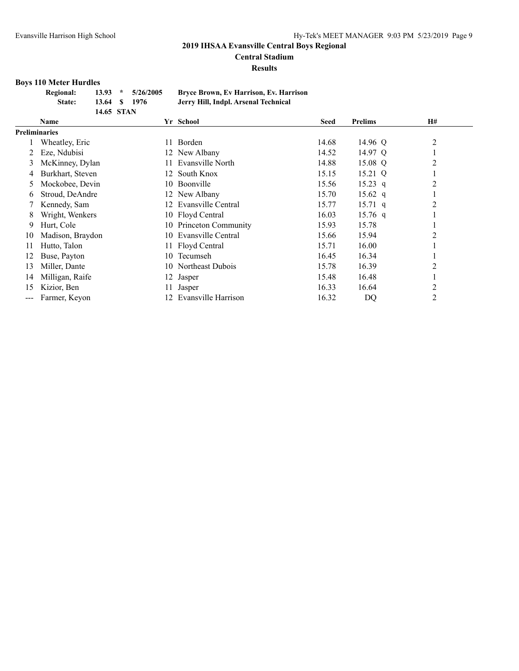**Central Stadium**

**Results**

#### **Boys 110 Meter Hurdles**

| <b>Regional:</b> |               | $13.93 * 5/26/2005$ | <b>Bryce Brown, Ev Harrison, Ev. Harrison</b> |
|------------------|---------------|---------------------|-----------------------------------------------|
| State:           | 13.64 \$ 1976 |                     | Jerry Hill, Indpl. Arsenal Technical          |
|                  | 14.65 STAN    |                     |                                               |

|       | Name                 |     | Yr School           | <b>Seed</b> | <b>Prelims</b>    | H# |  |
|-------|----------------------|-----|---------------------|-------------|-------------------|----|--|
|       | <b>Preliminaries</b> |     |                     |             |                   |    |  |
|       | Wheatley, Eric       | 11  | Borden              | 14.68       | 14.96 Q           | 2  |  |
|       | Eze, Ndubisi         |     | 12 New Albany       | 14.52       | 14.97 Q           |    |  |
| 3     | McKinney, Dylan      | 11  | Evansville North    | 14.88       | 15.08 Q           | 2  |  |
|       | Burkhart, Steven     |     | 12 South Knox       | 15.15       | 15.21 Q           |    |  |
| 5.    | Mockobee, Devin      | 10. | Boonville           | 15.56       | $15.23$ q         | 2  |  |
| 6.    | Stroud, DeAndre      | 12. | New Albany          | 15.70       | $15.62 \text{ q}$ |    |  |
|       | Kennedy, Sam         | 12  | Evansville Central  | 15.77       | $15.71 \text{ q}$ | 2  |  |
| 8     | Wright, Wenkers      |     | 10 Floyd Central    | 16.03       | $15.76$ q         |    |  |
| 9     | Hurt, Cole           | 10  | Princeton Community | 15.93       | 15.78             |    |  |
| 10    | Madison, Braydon     | 10  | Evansville Central  | 15.66       | 15.94             | 2  |  |
| 11    | Hutto, Talon         | 11  | Floyd Central       | 15.71       | 16.00             |    |  |
| 12    | Buse, Payton         | 10  | Tecumseh            | 16.45       | 16.34             |    |  |
| 13    | Miller, Dante        |     | 10 Northeast Dubois | 15.78       | 16.39             | 2  |  |
| 14    | Milligan, Raife      |     | 12 Jasper           | 15.48       | 16.48             |    |  |
| 15    | Kizior, Ben          | 11  | Jasper              | 16.33       | 16.64             | 2  |  |
| $---$ | Farmer, Keyon        | 12  | Evansville Harrison | 16.32       | <b>DQ</b>         | 2  |  |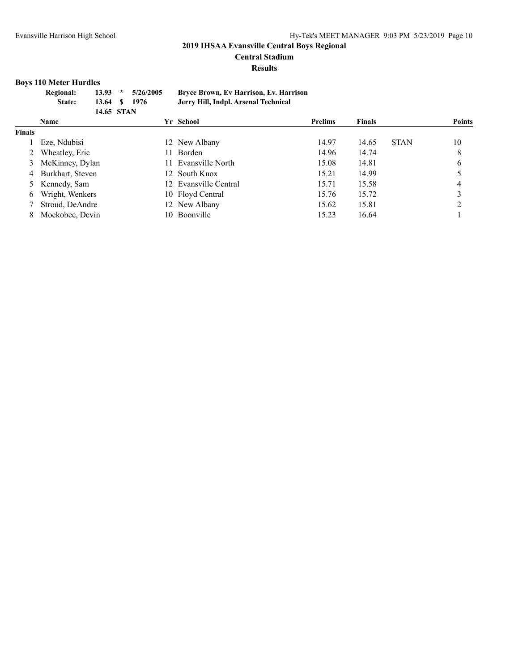**Central Stadium**

**Results**

# **Boys 110 Meter Hurdles**

| <b>Regional:</b><br>State: | 13.93<br>13.64 | $\ast$<br>-S                      | 5/26/2005<br>1976 |            | Bryce Brown, Ev Harrison, Ev. Harrison<br>Jerry Hill, Indpl. Arsenal Technical |                                                             |               |             |        |
|----------------------------|----------------|-----------------------------------|-------------------|------------|--------------------------------------------------------------------------------|-------------------------------------------------------------|---------------|-------------|--------|
| <b>Name</b>                |                |                                   |                   |            |                                                                                | <b>Prelims</b>                                              | <b>Finals</b> |             | Points |
|                            |                |                                   |                   |            |                                                                                |                                                             |               |             |        |
| Eze, Ndubisi               |                |                                   |                   |            |                                                                                | 14.97                                                       | 14.65         | <b>STAN</b> | 10     |
|                            |                |                                   |                   |            |                                                                                | 14.96                                                       | 14.74         |             |        |
| 3                          |                |                                   |                   |            |                                                                                | 15.08                                                       | 14.81         |             |        |
|                            |                | Wheatley, Eric<br>McKinney, Dylan |                   | 14.65 STAN | 11.                                                                            | Yr School<br>12 New Albany<br>Borden<br>11 Evansville North |               |             |        |

| $\epsilon$ $\eta$ nearly, $\mu$ |                       | 11. J V | .     | $\overline{\phantom{a}}$ |
|---------------------------------|-----------------------|---------|-------|--------------------------|
| 3 McKinney, Dylan               | 11 Evansville North   | 15.08   | 14.81 | 6                        |
| 4 Burkhart, Steven              | 12 South Knox         | 15.21   | 14.99 |                          |
| 5 Kennedy, Sam                  | 12 Evansville Central | 15.71   | 15.58 | $\overline{4}$           |
| 6 Wright, Wenkers               | 10 Floyd Central      | 15.76   | 15.72 | 3                        |
| 7 Stroud, DeAndre               | 12 New Albany         | 15.62   | 15.81 | 2                        |
| 8 Mockobee, Devin               | 10 Boonville          | 15.23   | 16.64 |                          |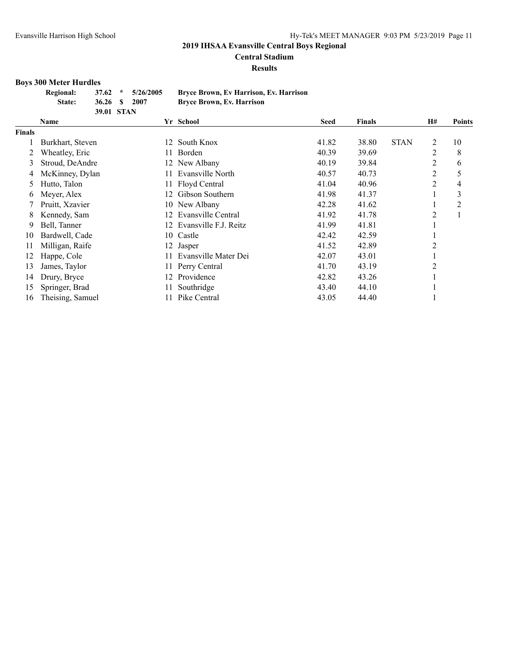**Central Stadium**

**Results**

#### **Boys 300 Meter Hurdles**

| <b>Regional:</b> |            | $37.62 \div 5/26/2005$ | <b>Bryce Brown, Ev Harrison, Ev. Harrison</b> |
|------------------|------------|------------------------|-----------------------------------------------|
| State:           | 36.26 S    | 2007                   | <b>Bryce Brown, Ev. Harrison</b>              |
|                  | 39.01 STAN |                        |                                               |

|               | Name             |     | Yr School             | <b>Seed</b> | <b>Finals</b> |             | <b>H#</b> | <b>Points</b> |
|---------------|------------------|-----|-----------------------|-------------|---------------|-------------|-----------|---------------|
| <b>Finals</b> |                  |     |                       |             |               |             |           |               |
|               | Burkhart, Steven | 12  | South Knox            | 41.82       | 38.80         | <b>STAN</b> | 2         | 10            |
|               | Wheatley, Eric   | 11  | Borden                | 40.39       | 39.69         |             | 2         | 8             |
| 3             | Stroud, DeAndre  |     | 12 New Albany         | 40.19       | 39.84         |             | 2         | 6             |
| 4             | McKinney, Dylan  | 11. | Evansville North      | 40.57       | 40.73         |             | 2         | 5             |
|               | Hutto, Talon     | 11  | Floyd Central         | 41.04       | 40.96         |             | 2         | 4             |
| 6             | Meyer, Alex      | 12  | Gibson Southern       | 41.98       | 41.37         |             |           | 3             |
|               | Pruitt, Xzavier  |     | 10 New Albany         | 42.28       | 41.62         |             |           | 2             |
| 8             | Kennedy, Sam     | 12  | Evansville Central    | 41.92       | 41.78         |             | 2         |               |
| 9             | Bell, Tanner     | 12  | Evansville F.J. Reitz | 41.99       | 41.81         |             |           |               |
| 10            | Bardwell, Cade   |     | 10 Castle             | 42.42       | 42.59         |             |           |               |
| 11            | Milligan, Raife  |     | 12 Jasper             | 41.52       | 42.89         |             | 2         |               |
| 12            | Happe, Cole      | 11. | Evansville Mater Dei  | 42.07       | 43.01         |             |           |               |
| 13            | James, Taylor    | 11  | Perry Central         | 41.70       | 43.19         |             | 2         |               |
| 14            | Drury, Bryce     | 12  | Providence            | 42.82       | 43.26         |             |           |               |
| 15            | Springer, Brad   | 11  | Southridge            | 43.40       | 44.10         |             |           |               |
| 16            | Theising, Samuel |     | Pike Central          | 43.05       | 44.40         |             |           |               |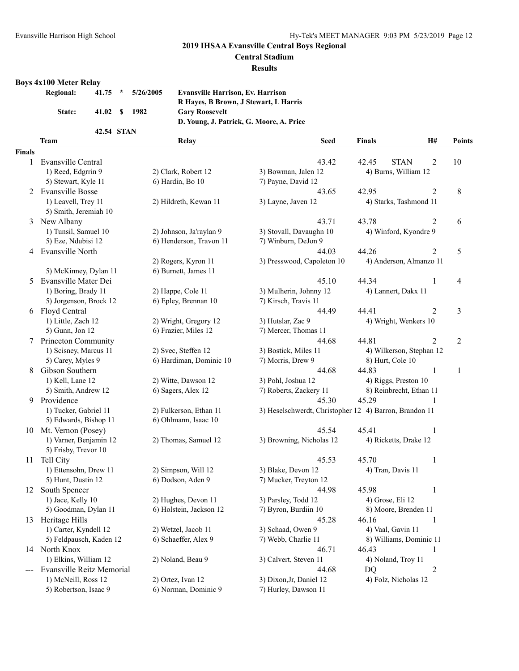#### **Central Stadium**

#### **Results**

# **Boys 4x100 Meter Relay**

| <b>Regional:</b> |        | $41.75$ *  | 5/26/2005 | <b>Evansville Harrison, Ev. Harrison</b> |
|------------------|--------|------------|-----------|------------------------------------------|
|                  |        |            |           | R Haves, B Brown, J Stewart, L Harris    |
|                  | State: | 41.02 S    | 1982      | <b>Gary Roosevelt</b>                    |
|                  |        |            |           | D. Young, J. Patrick, G. Moore, A. Price |
|                  |        | 42.54 STAN |           |                                          |

|               | <b>Team</b>                      | Relay                                    | <b>Seed</b>                                            | H#<br><b>Finals</b>      | Points                           |
|---------------|----------------------------------|------------------------------------------|--------------------------------------------------------|--------------------------|----------------------------------|
| <b>Finals</b> |                                  |                                          |                                                        |                          |                                  |
| 1             | Evansville Central               |                                          | 43.42                                                  | <b>STAN</b><br>42.45     | $\overline{2}$<br>10             |
|               | 1) Reed, Edgrrin 9               | 2) Clark, Robert 12                      | 3) Bowman, Jalen 12                                    | 4) Burns, William 12     |                                  |
|               | 5) Stewart, Kyle 11              | 6) Hardin, Bo 10                         | 7) Payne, David 12                                     |                          |                                  |
| 2             | <b>Evansville Bosse</b>          |                                          | 43.65                                                  | 42.95                    | $\overline{2}$<br>8              |
|               | 1) Leavell, Trey 11              | 2) Hildreth, Kewan 11                    | 3) Layne, Javen 12                                     | 4) Starks, Tashmond 11   |                                  |
|               | 5) Smith, Jeremiah 10            |                                          |                                                        |                          |                                  |
| 3             | New Albany                       |                                          | 43.71                                                  | 43.78                    | 2<br>6                           |
|               | 1) Tunsil, Samuel 10             | 2) Johnson, Ja'raylan 9                  | 3) Stovall, Davaughn 10                                | 4) Winford, Kyondre 9    |                                  |
|               | 5) Eze, Ndubisi 12               | 6) Henderson, Travon 11                  | 7) Winburn, DeJon 9                                    |                          |                                  |
| 4             | Evansville North                 |                                          | 44.03                                                  | 44.26                    | $\overline{c}$<br>5              |
|               |                                  | 2) Rogers, Kyron 11                      | 3) Presswood, Capoleton 10                             | 4) Anderson, Almanzo 11  |                                  |
|               | 5) McKinney, Dylan 11            | 6) Burnett, James 11                     |                                                        |                          |                                  |
| 5             | Evansville Mater Dei             |                                          | 45.10                                                  | 44.34                    | 1<br>4                           |
|               | 1) Boring, Brady 11              | 2) Happe, Cole 11                        | 3) Mulherin, Johnny 12                                 | 4) Lannert, Dakx 11      |                                  |
|               | 5) Jorgenson, Brock 12           | 6) Epley, Brennan 10                     | 7) Kirsch, Travis 11                                   |                          |                                  |
| 6             | Floyd Central                    |                                          | 44.49                                                  | 44.41                    | $\overline{2}$<br>3              |
|               | 1) Little, Zach 12               | 2) Wright, Gregory 12                    | 3) Hutslar, Zac 9                                      | 4) Wright, Wenkers 10    |                                  |
|               | 5) Gunn, Jon 12                  | 6) Frazier, Miles 12                     | 7) Mercer, Thomas 11                                   |                          |                                  |
|               | Princeton Community              |                                          | 44.68                                                  | 44.81                    | $\overline{c}$<br>$\overline{2}$ |
|               | 1) Scisney, Marcus 11            | 2) Svec, Steffen 12                      | 3) Bostick, Miles 11                                   | 4) Wilkerson, Stephan 12 |                                  |
|               | 5) Carey, Myles 9                | 6) Hardiman, Dominic 10                  | 7) Morris, Drew 9                                      | 8) Hurt, Cole 10         |                                  |
| 8             | Gibson Southern                  |                                          | 44.68                                                  | 44.83                    | $\mathbf{1}$<br>1                |
|               | 1) Kell, Lane 12                 | 2) Witte, Dawson 12                      | 3) Pohl, Joshua 12                                     | 4) Riggs, Preston 10     |                                  |
|               | 5) Smith, Andrew 12              | 6) Sagers, Alex 12                       | 7) Roberts, Zackery 11                                 | 8) Reinbrecht, Ethan 11  |                                  |
| 9             | Providence                       |                                          | 45.30                                                  | 45.29                    |                                  |
|               | 1) Tucker, Gabriel 11            | 2) Fulkerson, Ethan 11                   | 3) Heselschwerdt, Christopher 12 4) Barron, Brandon 11 |                          |                                  |
|               | 5) Edwards, Bishop 11            | 6) Ohlmann, Isaac 10                     |                                                        |                          |                                  |
|               | 10 Mt. Vernon (Posey)            |                                          | 45.54                                                  | 45.41                    |                                  |
|               | 1) Varner, Benjamin 12           |                                          |                                                        |                          | 1                                |
|               |                                  | 2) Thomas, Samuel 12                     | 3) Browning, Nicholas 12                               | 4) Ricketts, Drake 12    |                                  |
|               | 5) Frisby, Trevor 10             |                                          |                                                        |                          |                                  |
| 11            | Tell City                        |                                          | 45.53                                                  | 45.70                    | 1                                |
|               | 1) Ettensohn, Drew 11            | 2) Simpson, Will 12<br>6) Dodson, Aden 9 | 3) Blake, Devon 12                                     | 4) Tran, Davis 11        |                                  |
|               | 5) Hunt, Dustin 12               |                                          | 7) Mucker, Treyton 12                                  |                          |                                  |
| 12            | South Spencer                    |                                          | 44.98                                                  | 45.98                    | 1                                |
|               | 1) Jace, Kelly 10                | 2) Hughes, Devon 11                      | 3) Parsley, Todd 12                                    | 4) Grose, Eli 12         |                                  |
|               | 5) Goodman, Dylan 11             | 6) Holstein, Jackson 12                  | 7) Byron, Burdiin 10                                   | 8) Moore, Brenden 11     |                                  |
|               | 13 Heritage Hills                |                                          | 45.28                                                  | 46.16                    | $\bf{l}$                         |
|               | 1) Carter, Kyndell 12            | 2) Wetzel, Jacob 11                      | 3) Schaad, Owen 9                                      | 4) Vaal, Gavin 11        |                                  |
|               | 5) Feldpausch, Kaden 12          | 6) Schaeffer, Alex 9                     | 7) Webb, Charlie 11                                    | 8) Williams, Dominic 11  |                                  |
|               | 14 North Knox                    |                                          | 46.71                                                  | 46.43                    | $\mathbf{1}$                     |
|               | 1) Elkins, William 12            | 2) Noland, Beau 9                        | 3) Calvert, Steven 11                                  | 4) Noland, Troy 11       |                                  |
|               | <b>Evansville Reitz Memorial</b> |                                          | 44.68                                                  | DQ                       | $\overline{2}$                   |
|               | 1) McNeill, Ross 12              | 2) Ortez, Ivan 12                        | 3) Dixon, Jr, Daniel 12                                | 4) Folz, Nicholas 12     |                                  |
|               | 5) Robertson, Isaac 9            | 6) Norman, Dominic 9                     | 7) Hurley, Dawson 11                                   |                          |                                  |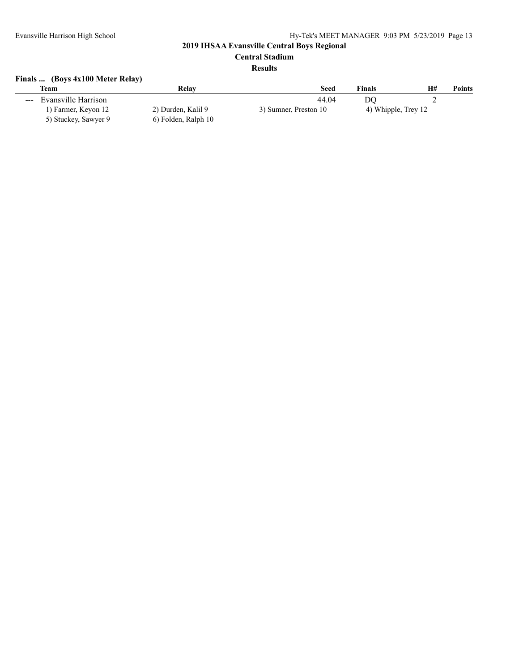# **Central Stadium**

### **Results**

# **Finals ... (Boys 4x100 Meter Relay)**

|                      | <b>Team</b>          | Relav               | Seed                  | <b>Finals</b>       | H# | <b>Points</b> |
|----------------------|----------------------|---------------------|-----------------------|---------------------|----|---------------|
| $\sim$ $\sim$ $\sim$ | Evansville Harrison  |                     | 44.04                 | DC                  | ∸  |               |
|                      | 1) Farmer, Keyon 12  | 2) Durden, Kalil 9  | 3) Sumner, Preston 10 | 4) Whipple, Trey 12 |    |               |
|                      | 5) Stuckey, Sawyer 9 | 6) Folden, Ralph 10 |                       |                     |    |               |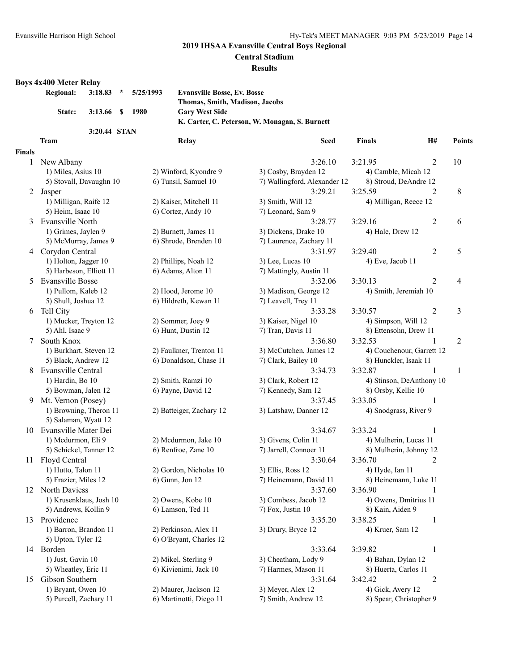#### **Central Stadium**

#### **Results**

# **Boys 4x400 Meter Relay**

| <b>Regional:</b> |                 | $3:18.83$ * $5/25/1993$ | <b>Evansville Bosse, Ev. Bosse</b>             |
|------------------|-----------------|-------------------------|------------------------------------------------|
|                  |                 |                         | Thomas, Smith, Madison, Jacobs                 |
| <b>State:</b>    | 3:13.66 \$ 1980 |                         | <b>Gary West Side</b>                          |
|                  |                 |                         | K. Carter, C. Peterson, W. Monagan, S. Burnett |
|                  | 3:20.44 STAN    |                         |                                                |

|               | <b>Team</b>               | Relay                    | <b>Seed</b>                  | <b>Finals</b>           | H#                        | Points                  |
|---------------|---------------------------|--------------------------|------------------------------|-------------------------|---------------------------|-------------------------|
| <b>Finals</b> |                           |                          |                              |                         |                           |                         |
| 1             | New Albany                |                          | 3:26.10                      | 3:21.95                 | $\overline{c}$            | 10                      |
|               | 1) Miles, Asius 10        | 2) Winford, Kyondre 9    | 3) Cosby, Brayden 12         | 4) Camble, Micah 12     |                           |                         |
|               | 5) Stovall, Davaughn 10   | 6) Tunsil, Samuel 10     | 7) Wallingford, Alexander 12 | 8) Stroud, DeAndre 12   |                           |                         |
| 2             | Jasper                    |                          | 3:29.21                      | 3:25.59                 | $\overline{2}$            | 8                       |
|               | 1) Milligan, Raife 12     | 2) Kaiser, Mitchell 11   | 3) Smith, Will 12            | 4) Milligan, Reece 12   |                           |                         |
|               | 5) Heim, Isaac 10         | 6) Cortez, Andy 10       | 7) Leonard, Sam 9            |                         |                           |                         |
| 3             | Evansville North          |                          | 3:28.77                      | 3:29.16                 | 2                         | 6                       |
|               | 1) Grimes, Jaylen 9       | 2) Burnett, James 11     | 3) Dickens, Drake 10         | 4) Hale, Drew 12        |                           |                         |
|               | 5) McMurray, James 9      | 6) Shrode, Brenden 10    | 7) Laurence, Zachary 11      |                         |                           |                         |
| 4             | Corydon Central           |                          | 3:31.97                      | 3:29.40                 | $\overline{2}$            | 5                       |
|               | 1) Holton, Jagger 10      | 2) Phillips, Noah 12     | 3) Lee, Lucas 10             | 4) Eve, Jacob 11        |                           |                         |
|               | 5) Harbeson, Elliott 11   | 6) Adams, Alton 11       | 7) Mattingly, Austin 11      |                         |                           |                         |
| 5             | <b>Evansville Bosse</b>   |                          | 3:32.06                      | 3:30.13                 | $\overline{c}$            | 4                       |
|               | 1) Pullom, Kaleb 12       | 2) Hood, Jerome 10       | 3) Madison, George 12        | 4) Smith, Jeremiah 10   |                           |                         |
|               | 5) Shull, Joshua 12       | 6) Hildreth, Kewan 11    | 7) Leavell, Trey 11          |                         |                           |                         |
|               | 6 Tell City               |                          | 3:33.28                      | 3:30.57                 | $\overline{c}$            | $\overline{\mathbf{3}}$ |
|               | 1) Mucker, Treyton 12     | 2) Sommer, Joey 9        | 3) Kaiser, Nigel 10          | 4) Simpson, Will 12     |                           |                         |
|               | 5) Ahl, Isaac 9           | 6) Hunt, Dustin 12       | 7) Tran, Davis 11            | 8) Ettensohn, Drew 11   |                           |                         |
| 7             | South Knox                |                          | 3:36.80                      | 3:32.53                 | 1                         | $\overline{2}$          |
|               | 1) Burkhart, Steven 12    | 2) Faulkner, Trenton 11  | 3) McCutchen, James 12       |                         | 4) Couchenour, Garrett 12 |                         |
|               | 5) Black, Andrew 12       | 6) Donaldson, Chase 11   | 7) Clark, Bailey 10          | 8) Hunckler, Isaak 11   |                           |                         |
| 8             | <b>Evansville Central</b> |                          | 3:34.73                      | 3:32.87                 | 1                         | 1                       |
|               | 1) Hardin, Bo 10          | 2) Smith, Ramzi 10       | 3) Clark, Robert 12          |                         | 4) Stinson, DeAnthony 10  |                         |
|               | 5) Bowman, Jalen 12       | 6) Payne, David 12       | 7) Kennedy, Sam 12           | 8) Orsby, Kellie 10     |                           |                         |
| 9             | Mt. Vernon (Posey)        |                          | 3:37.45                      | 3:33.05                 | 1                         |                         |
|               | 1) Browning, Theron 11    | 2) Batteiger, Zachary 12 | 3) Latshaw, Danner 12        | 4) Snodgrass, River 9   |                           |                         |
|               | 5) Salaman, Wyatt 12      |                          |                              |                         |                           |                         |
| 10            | Evansville Mater Dei      |                          | 3:34.67                      | 3:33.24                 |                           |                         |
|               | 1) Mcdurmon, Eli 9        | 2) Mcdurmon, Jake 10     | 3) Givens, Colin 11          | 4) Mulherin, Lucas 11   |                           |                         |
|               | 5) Schickel, Tanner 12    | 6) Renfroe, Zane 10      | 7) Jarrell, Connoer 11       | 8) Mulherin, Johnny 12  |                           |                         |
|               | 11 Floyd Central          |                          | 3:30.64                      | 3:36.70                 | 2                         |                         |
|               | 1) Hutto, Talon 11        | 2) Gordon, Nicholas 10   | 3) Ellis, Ross 12            | 4) Hyde, Ian 11         |                           |                         |
|               | 5) Frazier, Miles 12      | 6) Gunn, Jon 12          | 7) Heinemann, David 11       | 8) Heinemann, Luke 11   |                           |                         |
|               | 12 North Daviess          |                          | 3:37.60                      | 3:36.90                 |                           |                         |
|               | 1) Krusenklaus, Josh 10   | 2) Owens, Kobe 10        | 3) Combess, Jacob 12         | 4) Owens, Dmitrius 11   |                           |                         |
|               | 5) Andrews, Kollin 9      | 6) Lamson, Ted 11        | 7) Fox, Justin 10            | 8) Kain, Aiden 9        |                           |                         |
|               | 13 Providence             |                          | 3:35.20                      | 3:38.25                 | 1                         |                         |
|               | 1) Barron, Brandon 11     | 2) Perkinson, Alex 11    | 3) Drury, Bryce 12           | 4) Kruer, Sam 12        |                           |                         |
|               | 5) Upton, Tyler 12        | 6) O'Bryant, Charles 12  |                              |                         |                           |                         |
|               | 14 Borden                 |                          | 3:33.64                      | 3:39.82                 | $\mathbf{1}$              |                         |
|               | 1) Just, Gavin 10         | 2) Mikel, Sterling 9     | 3) Cheatham, Lody 9          | 4) Bahan, Dylan 12      |                           |                         |
|               | 5) Wheatley, Eric 11      | 6) Kivienimi, Jack 10    | 7) Harmes, Mason 11          | 8) Huerta, Carlos 11    |                           |                         |
| 15            | Gibson Southern           |                          | 3:31.64                      | 3:42.42                 | $\overline{2}$            |                         |
|               | 1) Bryant, Owen 10        | 2) Maurer, Jackson 12    | 3) Meyer, Alex 12            | 4) Gick, Avery 12       |                           |                         |
|               | 5) Purcell, Zachary 11    | 6) Martinotti, Diego 11  | 7) Smith, Andrew 12          | 8) Spear, Christopher 9 |                           |                         |
|               |                           |                          |                              |                         |                           |                         |
|               |                           |                          |                              |                         |                           |                         |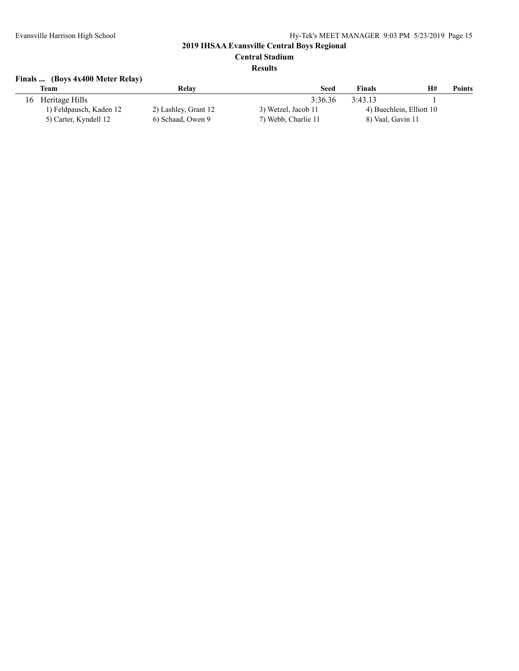# **Central Stadium**

#### **Results**

# **Finals ... (Boys 4x400 Meter Relay)**

|    | Team                    | Relay                | <b>Seed</b>         | <b>Finals</b>     | H#                       | <b>Points</b> |
|----|-------------------------|----------------------|---------------------|-------------------|--------------------------|---------------|
| 16 | Heritage Hills          |                      | 3:36.36             | 3:43.13           |                          |               |
|    | 1) Feldpausch, Kaden 12 | 2) Lashley, Grant 12 | 3) Wetzel, Jacob 11 |                   | 4) Buechlein, Elliott 10 |               |
|    | 5) Carter, Kyndell 12   | 6) Schaad, Owen 9    | 7) Webb, Charlie 11 | 8) Vaal, Gavin 11 |                          |               |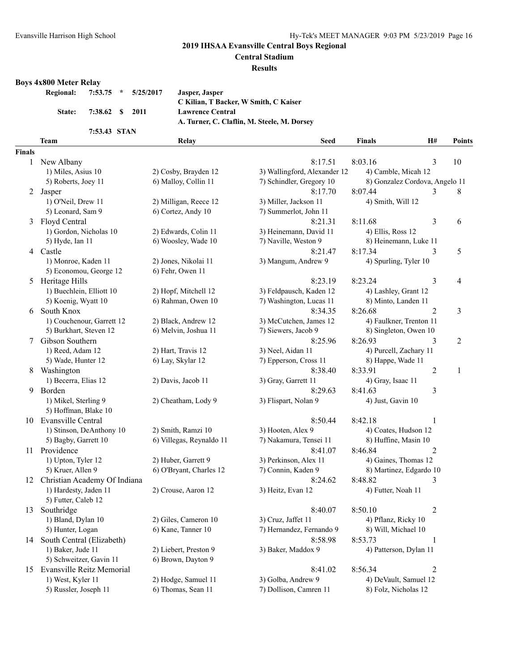**Central Stadium**

#### **Results**

#### **Boys 4x800 Meter Relay**

5) Hoffman, Blake 10

5) Futter, Caleb 12

|               | 7:53.75<br><b>Regional:</b><br>÷ | 5/25/2017<br>Jasper, Jasper     |                                             |                                |    |               |
|---------------|----------------------------------|---------------------------------|---------------------------------------------|--------------------------------|----|---------------|
|               |                                  |                                 | C Kilian, T Backer, W Smith, C Kaiser       |                                |    |               |
|               | 7:38.62<br>State:<br>S           | 2011<br><b>Lawrence Central</b> |                                             |                                |    |               |
|               |                                  |                                 | A. Turner, C. Claflin, M. Steele, M. Dorsey |                                |    |               |
|               | 7:53.43 STAN                     |                                 |                                             |                                |    |               |
|               | Team                             | Relay                           | <b>Seed</b>                                 | <b>Finals</b>                  | H# | <b>Points</b> |
| <b>Finals</b> |                                  |                                 |                                             |                                |    |               |
|               | New Albany                       |                                 | 8:17.51                                     | 8:03.16                        | 3  | 10            |
|               | 1) Miles, Asius 10               | 2) Cosby, Brayden 12            | 3) Wallingford, Alexander 12                | 4) Camble, Micah 12            |    |               |
|               | 5) Roberts, Joey 11              | 6) Malloy, Collin 11            | 7) Schindler, Gregory 10                    | 8) Gonzalez Cordova, Angelo 11 |    |               |
| 2             | Jasper                           |                                 | 8:17.70                                     | 8:07.44                        | 3  | 8             |
|               | 1) O'Neil, Drew 11               | 2) Milligan, Reece 12           | 3) Miller, Jackson 11                       | 4) Smith, Will 12              |    |               |
|               | 5) Leonard, Sam 9                | 6) Cortez, Andy 10              | 7) Summerlot, John 11                       |                                |    |               |
| 3             | Floyd Central                    |                                 | 8:21.31                                     | 8:11.68                        | 3  | 6             |
|               | 1) Gordon, Nicholas 10           | 2) Edwards, Colin 11            | 3) Heinemann, David 11                      | 4) Ellis, Ross 12              |    |               |
|               | 5) Hyde, Ian 11                  | 6) Woosley, Wade 10             | 7) Naville, Weston 9                        | 8) Heinemann, Luke 11          |    |               |
| 4             | Castle                           |                                 | 8:21.47                                     | 8:17.34                        | 3  | 5             |
|               | 1) Monroe, Kaden 11              | 2) Jones, Nikolai 11            | 3) Mangum, Andrew 9                         | 4) Spurling, Tyler 10          |    |               |
|               | 5) Economou, George 12           | 6) Fehr, Owen 11                |                                             |                                |    |               |
| 5             | Heritage Hills                   |                                 | 8:23.19                                     | 8:23.24                        | 3  | 4             |
|               | 1) Buechlein, Elliott 10         | 2) Hopf, Mitchell 12            | 3) Feldpausch, Kaden 12                     | 4) Lashley, Grant 12           |    |               |
|               |                                  |                                 |                                             |                                |    |               |

5) Schweitzer, Gavin 11 6) Brown, Dayton 9

1) West, Kyler 11 2) Hodge, Samuel 11 3) Golba, Andrew 9 4) DeVault, Samuel 12

1) Gordon, Nicholas 10 2010 11 3) Ellis, Ross 12 ville, Weston 9 8) Heinemann, Luke 11 ngum, Andrew 9 4) Spurling, Tyler 10 dpausch, Kaden 12 <sup>4</sup>) Lashley, Grant 12 5) Koenig, Wyatt 10 6) Rahman, Owen 10 7) Washington, Lucas 11 8) Minto, Landen 11 6 South Knox 8:34.35 8:26.68 2 3 1) Couchenour, Garrett 12 2) Black, Andrew 12 3) McCutchen, James 12 4) Faulkner, Trenton 11 5) Burkhart, Steven 12 6) Melvin, Joshua 11 7) Siewers, Jacob 9 8) Singleton, Owen 10 7 Gibson Southern 8:25.96 8:26.93 3 2 1) Reed, Adam 12 2) Hart, Travis 12 3) Neel, Aidan 11 4) Purcell, Zachary 11 5) Wade, Hunter 12 6) Lay, Skylar 12 7) Epperson, Cross 11 8) Happe, Wade 11 8 Washington 2 1 1) Becerra, Elias 12 2) Davis, Jacob 11 3) Gray, Garrett 11 4) Gray, Isaac 11 9 Borden 8:29.63 8:41.63 3 1) Mikel, Sterling 9 2) Cheatham, Lody 9 3) Flispart, Nolan 9 4) Just, Gavin 10 10 Evansville Central 8:50.44 8:42.18 1 1) Stinson, DeAnthony 10 2) Smith, Ramzi 10 3) Hooten, Alex 9 4) Coates, Hudson 12 5) Bagby, Garrett 10 6) Villegas, Reynaldo 11 7) Nakamura, Tensei 11 8) Huffine, Masin 10 11 Providence 2 and 8:41.07 8:46.84 2 1) Upton, Tyler 12 2) Huber, Garrett 9 3) Perkinson, Alex 11 4) Gaines, Thomas 12 5) Kruer, Allen 9 6) O'Bryant, Charles 12 7) Connin, Kaden 9 8) Martinez, Edgardo 10 12 Christian Academy Of Indiana 8:24.62 8:48.82 3 1) Hardesty, Jaden 11 2) Crouse, Aaron 12 3) Heitz, Evan 12 4) Futter, Noah 11

13 Southridge 8:40.07 8:50.10 2 1) Bland, Dylan 10 2) Giles, Cameron 10 3) Cruz, Jaffet 11 4) Pflanz, Ricky 10 5) Hunter, Logan 6) Kane, Tanner 10 7) Hernandez, Fernando 9 8) Will, Michael 10 14 South Central (Elizabeth) 8:58.98 8:53.73 1 1) Baker, Jude 11 2) Liebert, Preston 9 3) Baker, Maddox 9 4) Patterson, Dylan 11 15 Evansville Reitz Memorial 8:41.02 8:56.34 2

5) Russler, Joseph 11 6) Thomas, Sean 11 7) Dollison, Camren 11 8) Folz, Nicholas 12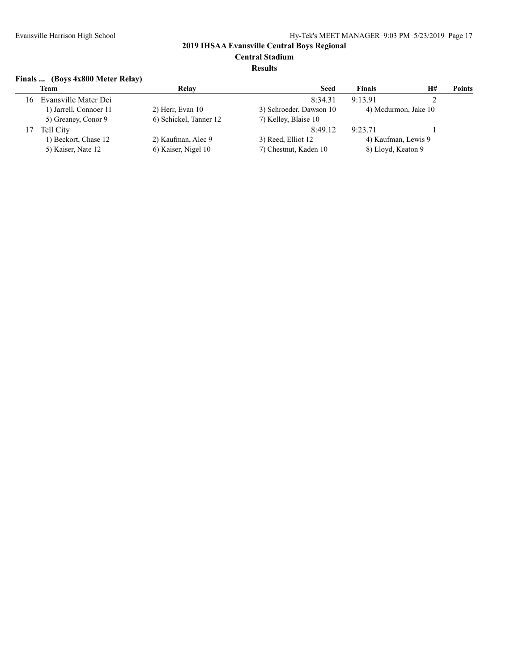# **Central Stadium**

#### **Results**

### **Finals ... (Boys 4x800 Meter Relay)**

| H# | <b>Points</b>                                                     |
|----|-------------------------------------------------------------------|
|    |                                                                   |
|    |                                                                   |
|    |                                                                   |
|    |                                                                   |
|    |                                                                   |
|    |                                                                   |
|    | 4) Mcdurmon, Jake 10<br>4) Kaufman, Lewis 9<br>8) Lloyd, Keaton 9 |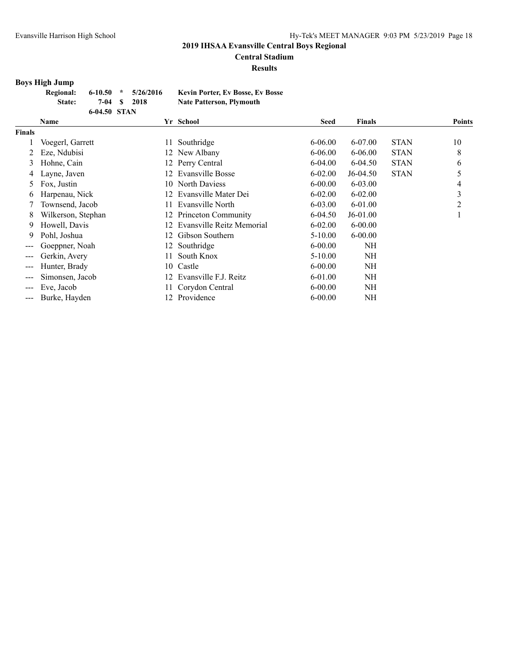# **Central Stadium**

**Results**

# **Boys High Jump**

| <b>Regional:</b> |              | $6-10.50$ * $5/26/2016$ | <b>Kevin Porter, Ev Bosse, Ev Bosse</b> |
|------------------|--------------|-------------------------|-----------------------------------------|
| State:           |              | 7-04 \$ 2018            | <b>Nate Patterson, Plymouth</b>         |
|                  | 6-04.50 STAN |                         |                                         |

|                        | <b>Name</b>        |     | Yr School                 | <b>Seed</b> | <b>Finals</b> |             | <b>Points</b> |
|------------------------|--------------------|-----|---------------------------|-------------|---------------|-------------|---------------|
| <b>Finals</b>          |                    |     |                           |             |               |             |               |
|                        | Voegerl, Garrett   | 11  | Southridge                | $6 - 06.00$ | 6-07.00       | <b>STAN</b> | 10            |
|                        | Eze, Ndubisi       |     | 12 New Albany             | $6 - 06.00$ | $6 - 06.00$   | <b>STAN</b> | 8             |
| 3                      | Hohne, Cain        |     | 12 Perry Central          | $6 - 04.00$ | $6-04.50$     | <b>STAN</b> | 6             |
| 4                      | Layne, Javen       | 12  | Evansville Bosse          | $6 - 02.00$ | $J6-04.50$    | <b>STAN</b> | 5             |
| 5                      | Fox, Justin        | 10  | North Daviess             | $6 - 00.00$ | $6 - 03.00$   |             | 4             |
| 6                      | Harpenau, Nick     | 12. | Evansville Mater Dei      | $6 - 02.00$ | $6 - 02.00$   |             | 3             |
|                        | Townsend, Jacob    | 11. | Evansville North          | $6 - 03.00$ | $6-01.00$     |             | 2             |
| 8                      | Wilkerson, Stephan |     | 12 Princeton Community    | $6-04.50$   | $J6-01.00$    |             |               |
| 9                      | Howell, Davis      | 12. | Evansville Reitz Memorial | $6 - 02.00$ | $6 - 00.00$   |             |               |
| 9                      | Pohl, Joshua       | 12  | Gibson Southern           | 5-10.00     | $6 - 00.00$   |             |               |
| $\qquad \qquad \cdots$ | Goeppner, Noah     | 12. | Southridge                | $6 - 00.00$ | NH            |             |               |
| $---$                  | Gerkin, Avery      | 11  | South Knox                | 5-10.00     | NH            |             |               |
| ---                    | Hunter, Brady      |     | 10 Castle                 | $6 - 00.00$ | NH            |             |               |
| $---$                  | Simonsen, Jacob    | 12. | Evansville F.J. Reitz     | $6 - 01.00$ | NH            |             |               |
| $\qquad \qquad -$      | Eve, Jacob         |     | Corydon Central           | $6 - 00.00$ | NH            |             |               |
| ---                    | Burke, Hayden      | 12  | Providence                | $6 - 00.00$ | NH            |             |               |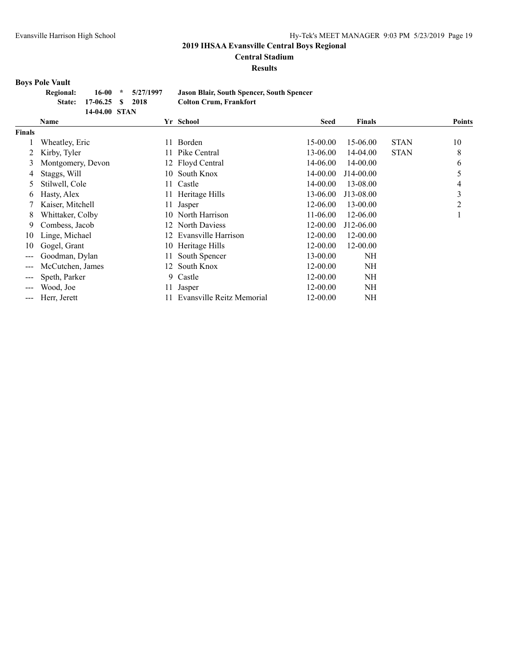**Central Stadium**

#### **Results**

# **Boys Pole Vault**

| Regional: |                         | $16-00 \times 5/27/1997$ |
|-----------|-------------------------|--------------------------|
|           | State: 17-06.25 \$ 2018 |                          |
|           | 14-04.00 STAN           |                          |

**Regional: 16-00 \* 5/27/1997 Jason Blair, South Spencer, South Spencer**  $C$ olton Crum, Frankfort

|               | Name              |     | Yr School                 | <b>Seed</b> | <b>Finals</b> |             | <b>Points</b> |
|---------------|-------------------|-----|---------------------------|-------------|---------------|-------------|---------------|
| <b>Finals</b> |                   |     |                           |             |               |             |               |
|               | Wheatley, Eric    | 11  | Borden                    | 15-00.00    | 15-06.00      | <b>STAN</b> | 10            |
|               | Kirby, Tyler      | 11  | Pike Central              | 13-06.00    | 14-04.00      | <b>STAN</b> | 8             |
| 3             | Montgomery, Devon |     | 12 Floyd Central          | 14-06.00    | 14-00.00      |             | 6             |
| 4             | Staggs, Will      | 10  | South Knox                | 14-00.00    | J14-00.00     |             | 5             |
| 5             | Stilwell, Cole    | 11. | Castle                    | 14-00.00    | 13-08.00      |             | 4             |
| b             | Hasty, Alex       | 11. | Heritage Hills            | 13-06.00    | J13-08.00     |             | 3             |
|               | Kaiser, Mitchell  | 11  | Jasper                    | 12-06.00    | 13-00.00      |             | 2             |
| 8             | Whittaker, Colby  | 10  | North Harrison            | 11-06.00    | 12-06.00      |             |               |
| 9             | Combess, Jacob    | 12  | <b>North Daviess</b>      | 12-00.00    | J12-06.00     |             |               |
| 10            | Linge, Michael    | 12. | Evansville Harrison       | 12-00.00    | 12-00.00      |             |               |
| 10            | Gogel, Grant      | 10  | Heritage Hills            | 12-00.00    | 12-00.00      |             |               |
| $--$          | Goodman, Dylan    |     | South Spencer             | 13-00.00    | NH            |             |               |
| $---$         | McCutchen, James  | 12  | South Knox                | 12-00.00    | <b>NH</b>     |             |               |
| $---$         | Speth, Parker     | 9.  | Castle                    | 12-00.00    | NH            |             |               |
| $---$         | Wood, Joe         | 11  | Jasper                    | 12-00.00    | NH            |             |               |
| $---$         | Herr, Jerett      |     | Evansville Reitz Memorial | 12-00.00    | NH            |             |               |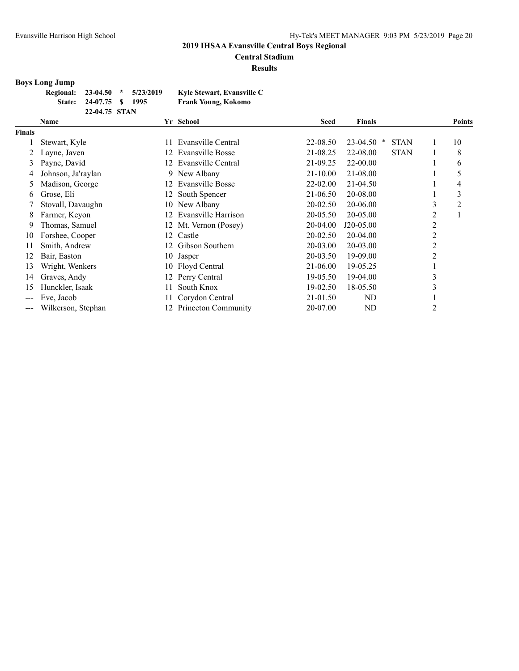# **Central Stadium**

**Results**

# **Boys Long Jump**

| Regional: 23-04.50 * 5/23/2019 |                         |  | Kyle Stewart, Evansville C |
|--------------------------------|-------------------------|--|----------------------------|
|                                | State: 24-07.75 \$ 1995 |  | Frank Young, Kokomo        |
|                                | 22-04.75 STAN           |  |                            |

|                        | <b>Name</b>        |     | Yr School             | <b>Seed</b>  | <b>Finals</b> |             |                                | <b>Points</b>  |
|------------------------|--------------------|-----|-----------------------|--------------|---------------|-------------|--------------------------------|----------------|
| <b>Finals</b>          |                    |     |                       |              |               |             |                                |                |
|                        | Stewart, Kyle      | 11  | Evansville Central    | 22-08.50     | 23-04.50      | <b>STAN</b> |                                | 10             |
|                        | Layne, Javen       | 12. | Evansville Bosse      | 21-08.25     | 22-08.00      | <b>STAN</b> |                                | 8              |
| 3                      | Payne, David       | 12. | Evansville Central    | 21-09.25     | 22-00.00      |             |                                | 6              |
| 4                      | Johnson, Ja'raylan |     | 9 New Albany          | 21-10.00     | 21-08.00      |             |                                | 5              |
| 5                      | Madison, George    | 12. | Evansville Bosse      | $22 - 02.00$ | 21-04.50      |             |                                | 4              |
| 6                      | Grose, Eli         | 12  | South Spencer         | 21-06.50     | 20-08.00      |             |                                | 3              |
|                        | Stovall, Davaughn  | 10  | New Albany            | 20-02.50     | 20-06.00      |             | 3                              | $\overline{2}$ |
| 8                      | Farmer, Keyon      | 12  | Evansville Harrison   | 20-05.50     | 20-05.00      |             | 2                              |                |
| 9                      | Thomas, Samuel     |     | 12 Mt. Vernon (Posey) | 20-04.00     | J20-05.00     |             | 2                              |                |
| 10                     | Forshee, Cooper    | 12  | Castle                | 20-02.50     | 20-04.00      |             | 2                              |                |
| 11                     | Smith, Andrew      | 12  | Gibson Southern       | 20-03.00     | 20-03.00      |             | 2                              |                |
| 12                     | Bair, Easton       | 10  | Jasper                | 20-03.50     | 19-09.00      |             | 2                              |                |
| 13                     | Wright, Wenkers    | 10  | Floyd Central         | 21-06.00     | 19-05.25      |             |                                |                |
| 14                     | Graves, Andy       | 12  | Perry Central         | 19-05.50     | 19-04.00      |             | 3                              |                |
| 15                     | Hunckler, Isaak    |     | South Knox            | 19-02.50     | 18-05.50      |             | $\rightarrow$<br>$\mathcal{L}$ |                |
| $\qquad \qquad \cdots$ | Eve, Jacob         |     | Corydon Central       | 21-01.50     | ND            |             |                                |                |
| $\qquad \qquad \cdots$ | Wilkerson, Stephan | 12. | Princeton Community   | 20-07.00     | ND            |             | 2                              |                |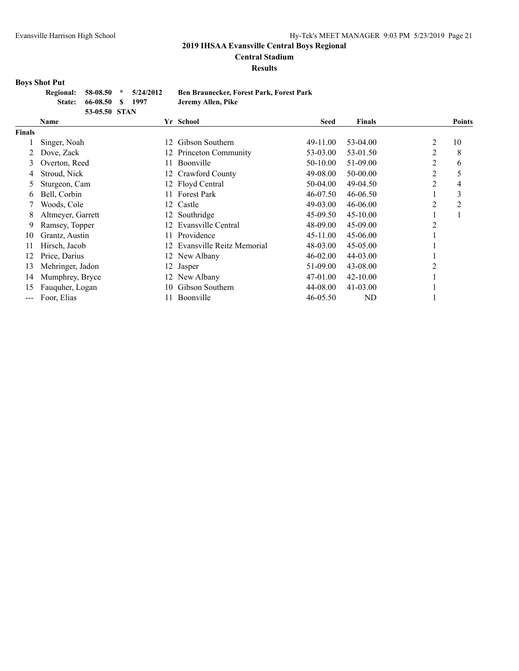**Central Stadium**

#### **Results**

#### **Boys Shot Put**

|  |                         | Regional: 58-08.50 * 5/24/2012 | <b>Ben</b> l |
|--|-------------------------|--------------------------------|--------------|
|  | State: 66-08.50 \$ 1997 |                                | Jerer        |
|  | 53-05.50 STAN           |                                |              |

**Regional: 58-08.50 \* 5/24/2012 Ben Braunecker, Forest Park, Forest Park State: 66-08.50 \$ 1997 Jeremy Allen, Pike**

|               | Name              |     | Yr School                 | <b>Seed</b>  | <b>Finals</b> |                | <b>Points</b> |
|---------------|-------------------|-----|---------------------------|--------------|---------------|----------------|---------------|
| <b>Finals</b> |                   |     |                           |              |               |                |               |
|               | Singer, Noah      | 12  | Gibson Southern           | 49-11.00     | 53-04.00      | 2              | 10            |
|               | Dove, Zack        |     | 12 Princeton Community    | 53-03.00     | 53-01.50      | 2              | 8             |
| 3             | Overton, Reed     | 11  | Boonville                 | 50-10.00     | 51-09.00      | 2              | 6             |
| 4             | Stroud, Nick      | 12  | Crawford County           | 49-08.00     | 50-00.00      | $\overline{2}$ | 5             |
| 5             | Sturgeon, Cam     | 12  | Floyd Central             | 50-04.00     | 49-04.50      | 2              | 4             |
| 6             | Bell, Corbin      |     | <b>Forest Park</b>        | 46-07.50     | 46-06.50      |                | 3             |
|               | Woods, Cole       |     | 12 Castle                 | 49-03.00     | 46-06.00      | 2              | 2             |
| 8             | Altmeyer, Garrett | 12  | Southridge                | 45-09.50     | $45 - 10.00$  |                | -1            |
| 9             | Ramsey, Topper    | 12. | Evansville Central        | 48-09.00     | 45-09.00      | $\overline{2}$ |               |
| 10            | Grantz, Austin    | 11. | Providence                | 45-11.00     | 45-06.00      |                |               |
| 11            | Hirsch, Jacob     | 12  | Evansville Reitz Memorial | 48-03.00     | 45-05.00      |                |               |
| 12            | Price, Darius     |     | 12 New Albany             | $46 - 02.00$ | 44-03.00      |                |               |
| 13            | Mehringer, Jadon  | 12  | Jasper                    | 51-09.00     | 43-08.00      | C              |               |
| 14            | Mumphrey, Bryce   | 12  | New Albany                | 47-01.00     | $42 - 10.00$  |                |               |
| 15            | Fauguher, Logan   | 10  | Gibson Southern           | 44-08.00     | $41 - 03.00$  |                |               |
| ---           | Foor, Elias       |     | Boonville                 | 46-05.50     | ND            |                |               |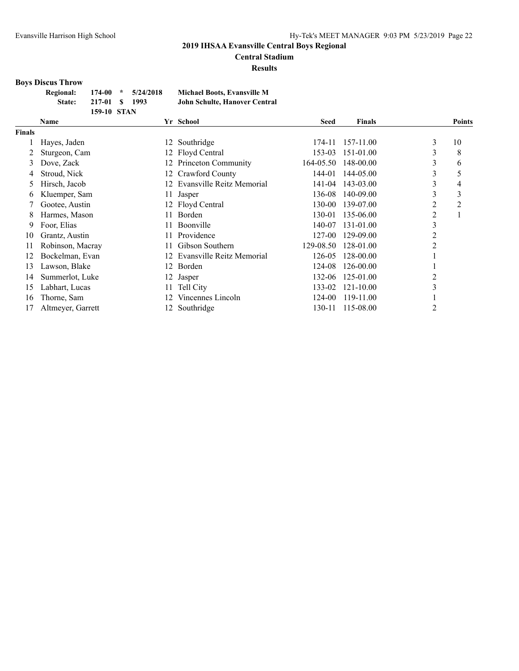# **Central Stadium**

**Results**

# **Boys Discus Throw**

| <b>Regional:</b> |             | $174-00$ * $5/24/2018$ | Michael Boots, Evansville M   |
|------------------|-------------|------------------------|-------------------------------|
| <b>State:</b>    | 217-01 \$   | -1993                  | John Schulte, Hanover Central |
|                  | 159-10 STAN |                        |                               |

|               | <b>Name</b>       |     | Yr School                 | <b>Seed</b> | <b>Finals</b> |                | <b>Points</b>  |
|---------------|-------------------|-----|---------------------------|-------------|---------------|----------------|----------------|
| <b>Finals</b> |                   |     |                           |             |               |                |                |
|               | Hayes, Jaden      | 12. | Southridge                | 174-11      | 157-11.00     | 3              | 10             |
|               | Sturgeon, Cam     | 12. | Floyd Central             | 153-03      | 151-01.00     | 3              | 8              |
| 3             | Dove, Zack        | 12. | Princeton Community       | 164-05.50   | 148-00.00     | 3              | 6              |
| 4             | Stroud, Nick      | 12. | Crawford County           | 144-01      | 144-05.00     | 3              | 5              |
| 5             | Hirsch, Jacob     | 12. | Evansville Reitz Memorial | 141-04      | 143-03.00     | 3              | 4              |
| O             | Kluemper, Sam     | 11  | Jasper                    | 136-08      | 140-09.00     | 3              | 3              |
|               | Gootee, Austin    |     | 12 Floyd Central          | 130-00      | 139-07.00     | $\overline{2}$ | $\overline{c}$ |
| 8             | Harmes, Mason     | 11. | Borden                    | 130-01      | 135-06.00     | 2              | 1              |
| 9             | Foor, Elias       | 11. | <b>Boonville</b>          | 140-07      | 131-01.00     | 3              |                |
| 10            | Grantz, Austin    | 11  | Providence                | 127-00      | 129-09.00     | $\overline{2}$ |                |
| 11            | Robinson, Macray  | 11. | Gibson Southern           | 129-08.50   | 128-01.00     | 2              |                |
| 12            | Bockelman, Evan   | 12. | Evansville Reitz Memorial | 126-05      | 128-00.00     |                |                |
| 13            | Lawson, Blake     | 12. | Borden                    | 124-08      | 126-00.00     |                |                |
| 14            | Summerlot, Luke   | 12  | Jasper                    | 132-06      | 125-01.00     | $\overline{2}$ |                |
| 15            | Labhart, Lucas    | 11. | Tell City                 | 133-02      | 121-10.00     | 3              |                |
| 16            | Thorne, Sam       | 12. | Vincennes Lincoln         | 124-00      | 119-11.00     |                |                |
| 17            | Altmeyer, Garrett |     | 12 Southridge             | 130-11      | 115-08.00     | $\overline{2}$ |                |